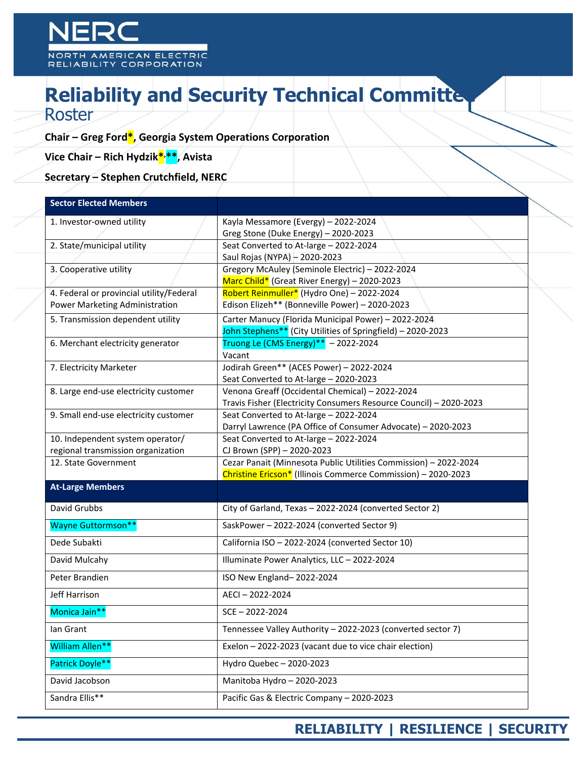## **Reliability and Security Technical Committed** Roster

## **Chair – Greg Ford\*, Georgia System Operations Corporation**

**Vice Chair – Rich Hydzik\*, \*\*, Avista**

**Secretary – Stephen Crutchfield, NERC**

| <b>Sector Elected Members</b>            |                                                                    |  |
|------------------------------------------|--------------------------------------------------------------------|--|
| 1. Investor-owned utility                | Kayla Messamore (Evergy) - 2022-2024                               |  |
|                                          | Greg Stone (Duke Energy) - 2020-2023                               |  |
| 2. State/municipal utility               | Seat Converted to At-large - 2022-2024                             |  |
|                                          | Saul Rojas (NYPA) - 2020-2023                                      |  |
| 3. Cooperative utility                   | Gregory McAuley (Seminole Electric) - 2022-2024                    |  |
|                                          | Marc Child* (Great River Energy) - 2020-2023                       |  |
| 4. Federal or provincial utility/Federal | Robert Reinmuller* (Hydro One) - 2022-2024                         |  |
| Power Marketing Administration           | Edison Elizeh** (Bonneville Power) - 2020-2023                     |  |
| 5. Transmission dependent utility        | Carter Manucy (Florida Municipal Power) - 2022-2024                |  |
|                                          | John Stephens** (City Utilities of Springfield) - 2020-2023        |  |
| 6. Merchant electricity generator        | Truong Le (CMS Energy) ** $-2022-2024$                             |  |
|                                          | Vacant                                                             |  |
| 7. Electricity Marketer                  | Jodirah Green** (ACES Power) - 2022-2024                           |  |
|                                          | Seat Converted to At-large - 2020-2023                             |  |
| 8. Large end-use electricity customer    | Venona Greaff (Occidental Chemical) - 2022-2024                    |  |
|                                          | Travis Fisher (Electricity Consumers Resource Council) - 2020-2023 |  |
| 9. Small end-use electricity customer    | Seat Converted to At-large - 2022-2024                             |  |
|                                          | Darryl Lawrence (PA Office of Consumer Advocate) - 2020-2023       |  |
| 10. Independent system operator/         | Seat Converted to At-large - 2022-2024                             |  |
| regional transmission organization       | CJ Brown (SPP) - 2020-2023                                         |  |
| 12. State Government                     | Cezar Panait (Minnesota Public Utilities Commission) - 2022-2024   |  |
|                                          | Christine Ericson* (Illinois Commerce Commission) - 2020-2023      |  |
| <b>At-Large Members</b>                  |                                                                    |  |
| David Grubbs                             | City of Garland, Texas - 2022-2024 (converted Sector 2)            |  |
| <b>Wayne Guttormson**</b>                | SaskPower-2022-2024 (converted Sector 9)                           |  |
| Dede Subakti                             | California ISO - 2022-2024 (converted Sector 10)                   |  |
| David Mulcahy                            | Illuminate Power Analytics, LLC - 2022-2024                        |  |
| Peter Brandien                           | ISO New England-2022-2024                                          |  |
| Jeff Harrison                            | AECI-2022-2024                                                     |  |
| Monica Jain**                            | $SCE - 2022 - 2024$                                                |  |
| lan Grant                                | Tennessee Valley Authority - 2022-2023 (converted sector 7)        |  |
| William Allen**                          | Exelon - 2022-2023 (vacant due to vice chair election)             |  |
| Patrick Doyle**                          | Hydro Quebec - 2020-2023                                           |  |
| David Jacobson                           | Manitoba Hydro - 2020-2023                                         |  |
| Sandra Ellis**                           | Pacific Gas & Electric Company - 2020-2023                         |  |